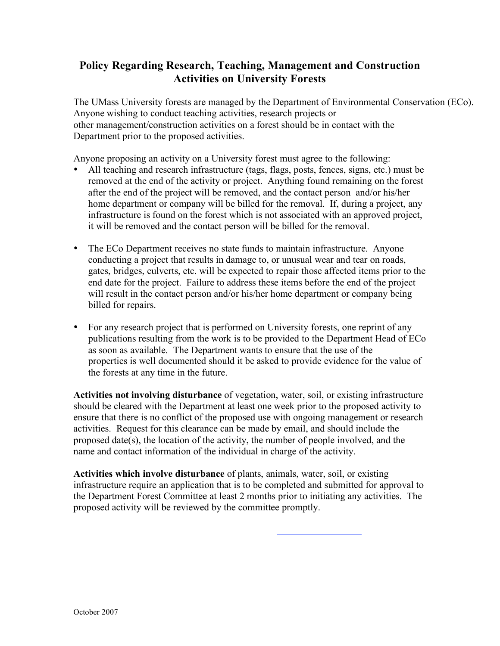## **Policy Regarding Research, Teaching, Management and Construction Activities on University Forests**

The UMass University forests are managed by the Department of Environmental Conservation (ECo). Anyone wishing to conduct teaching activities, research projects or other management/construction activities on a forest should be in contact with the Department prior to the proposed activities.

Anyone proposing an activity on a University forest must agree to the following:

- All teaching and research infrastructure (tags, flags, posts, fences, signs, etc.) must be removed at the end of the activity or project. Anything found remaining on the forest after the end of the project will be removed, and the contact person and/or his/her home department or company will be billed for the removal. If, during a project, any infrastructure is found on the forest which is not associated with an approved project, it will be removed and the contact person will be billed for the removal.
- The ECo Department receives no state funds to maintain infrastructure. Anyone conducting a project that results in damage to, or unusual wear and tear on roads, gates, bridges, culverts, etc. will be expected to repair those affected items prior to the end date for the project. Failure to address these items before the end of the project will result in the contact person and/or his/her home department or company being billed for repairs.
- For any research project that is performed on University forests, one reprint of any publications resulting from the work is to be provided to the Department Head of ECo as soon as available. The Department wants to ensure that the use of the properties is well documented should it be asked to provide evidence for the value of the forests at any time in the future.

**Activities not involving disturbance** of vegetation, water, soil, or existing infrastructure should be cleared with the Department at least one week prior to the proposed activity to ensure that there is no conflict of the proposed use with ongoing management or research activities. Request for this clearance can be made by email, and should include the proposed date(s), the location of the activity, the number of people involved, and the name and contact information of the individual in charge of the activity.

**Activities which involve disturbance** of plants, animals, water, soil, or existing infrastructure require an application that is to be completed and submitted for approval to the Department Forest Committee at least 2 months prior to initiating any activities. The proposed activity will be reviewed by the committee promptly.